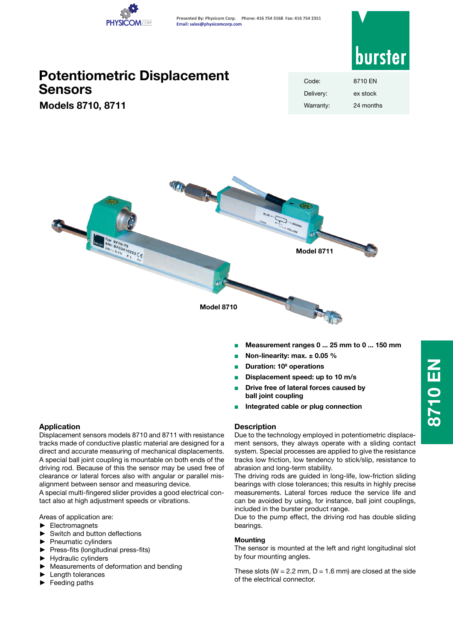

**Presented By: Physicom Corp. Phone: 416 754 3168 Fax: 416 754 2351 Email: sales@physicomcorp.com**



# **Potentiometric Displacement Sensors**

**Models 8710, 8711**

| Code:     | 8710 FN   |
|-----------|-----------|
| Delivery: | ex stock  |
| Warranty: | 24 months |



- <sup>Q</sup> **Measurement ranges 0 ... 25 mm to 0 ... 150 mm**
- <sup>Q</sup> **Non-linearity: max. ± 0.05 %**
- <sup>Q</sup> **Duration: 108 operations**
- <sup>Q</sup> **Displacement speed: up to 10 m/s**
- <sup>Q</sup> **Drive free of lateral forces caused by ball joint coupling**
- <sup>Q</sup> **Integrated cable or plug connection**

# **Application**

Displacement sensors models 8710 and 8711 with resistance tracks made of conductive plastic material are designed for a direct and accurate measuring of mechanical displacements. A special ball joint coupling is mountable on both ends of the driving rod. Because of this the sensor may be used free of clearance or lateral forces also with angular or parallel misalignment between sensor and measuring device.

A special multi-fingered slider provides a good electrical contact also at high adjustment speeds or vibrations.

Areas of application are:

- ► Electromagnets
- Switch and button deflections
- Pneumatic cylinders
- ► Press-fits (longitudinal press-fits)
- ► Hydraulic cylinders
- Measurements of deformation and bending
- Length tolerances
- ► Feeding paths

# **Description**

Due to the technology employed in potentiometric displacement sensors, they always operate with a sliding contact system. Special processes are applied to give the resistance tracks low friction, low tendency to stick/slip, resistance to abrasion and long-term stability.

The driving rods are guided in long-life, low-friction sliding bearings with close tolerances; this results in highly precise measurements. Lateral forces reduce the service life and can be avoided by using, for instance, ball joint couplings, included in the burster product range.

Due to the pump effect, the driving rod has double sliding bearings.

# **Mounting**

The sensor is mounted at the left and right longitudinal slot by four mounting angles.

These slots ( $W = 2.2$  mm,  $D = 1.6$  mm) are closed at the side of the electrical connector.